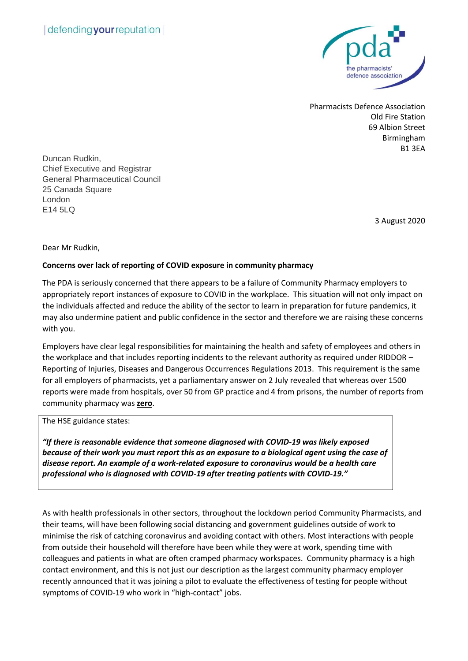

Pharmacists Defence Association Old Fire Station 69 Albion Street Birmingham B1 3EA

Duncan Rudkin, Chief Executive and Registrar General Pharmaceutical Council 25 Canada Square London E14 5LQ

3 August 2020

Dear Mr Rudkin,

## **Concerns over lack of reporting of COVID exposure in community pharmacy**

The PDA is seriously concerned that there appears to be a failure of Community Pharmacy employers to appropriately report instances of exposure to COVID in the workplace. This situation will not only impact on the individuals affected and reduce the ability of the sector to learn in preparation for future pandemics, it may also undermine patient and public confidence in the sector and therefore we are raising these concerns with you.

Employers have clear legal responsibilities for maintaining the health and safety of employees and others in the workplace and that includes reporting incidents to the relevant authority as required under RIDDOR – Reporting of Injuries, Diseases and Dangerous Occurrences Regulations 2013. This requirement is the same for all employers of pharmacists, yet a parliamentary answer on 2 July revealed that whereas over 1500 reports were made from hospitals, over 50 from GP practice and 4 from prisons, the number of reports from community pharmacy was **zero**.

The HSE guidance states:

*"If there is reasonable evidence that someone diagnosed with COVID-19 was likely exposed because of their work you must report this as an exposure to a biological agent using the case of disease report. An example of a work-related exposure to coronavirus would be a health care professional who is diagnosed with COVID-19 after treating patients with COVID-19."*

As with health professionals in other sectors, throughout the lockdown period Community Pharmacists, and their teams, will have been following social distancing and government guidelines outside of work to minimise the risk of catching coronavirus and avoiding contact with others. Most interactions with people from outside their household will therefore have been while they were at work, spending time with colleagues and patients in what are often cramped pharmacy workspaces. Community pharmacy is a high contact environment, and this is not just our description as the largest community pharmacy employer recently announced that it was joining a pilot to evaluate the effectiveness of testing for people without symptoms of COVID-19 who work in "high-contact" jobs.